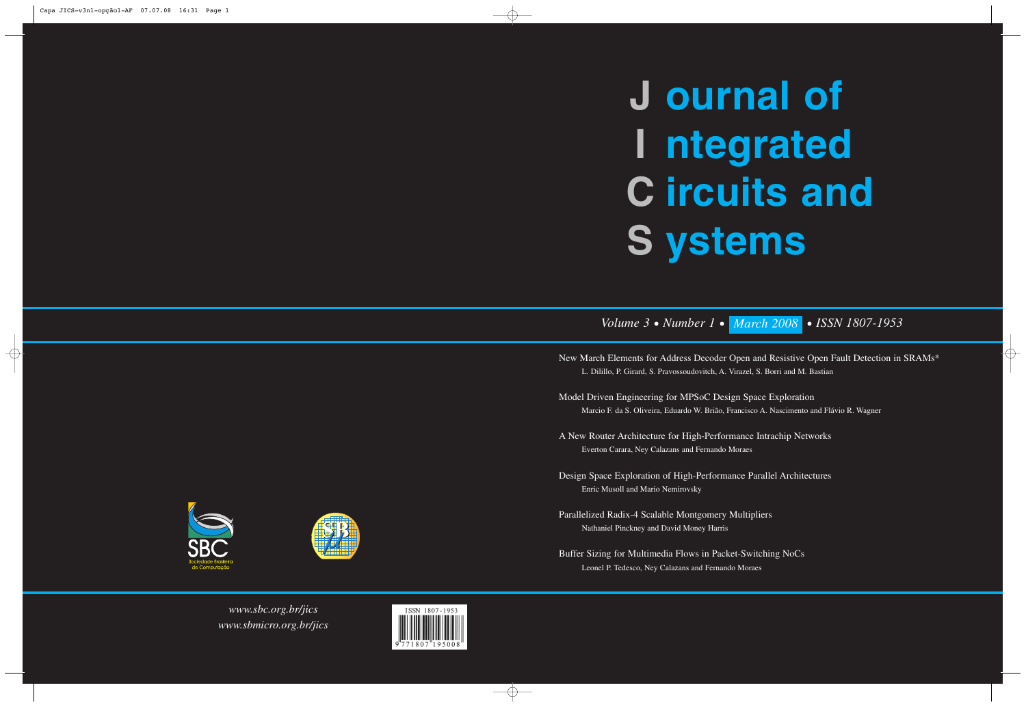*www.sbc.org.br/jics www.sbmicro.org.br/jics*



## *Volume 3 • Number 1 • March 2008 • ISSN 1807-1953*

New March Elements for Address Decoder Open and Resistive Open Fault Detection in SRAMs\* L. Dilillo, P. Girard, S. Pravossoudovitch, A. Virazel, S. Borri and M. Bastian

Model Driven Engineering for MPSoC Design Space Exploration Marcio F. da S. Oliveira, Eduardo W. Brião, Francisco A. Nascimento and Flávio R. Wagner

# **ournal of J ntegrated I ircuits and C ystems S**

A New Router Architecture for High-Performance Intrachip Networks Everton Carara, Ney Calazans and Fernando Moraes

Design Space Exploration of High-Performance Parallel Architectures Enric Musoll and Mario Nemirovsky

Parallelized Radix-4 Scalable Montgomery Multipliers Nathaniel Pinckney and David Money Harris

Buffer Sizing for Multimedia Flows in Packet-Switching NoCs Leonel P. Tedesco, Ney Calazans and Fernando Moraes



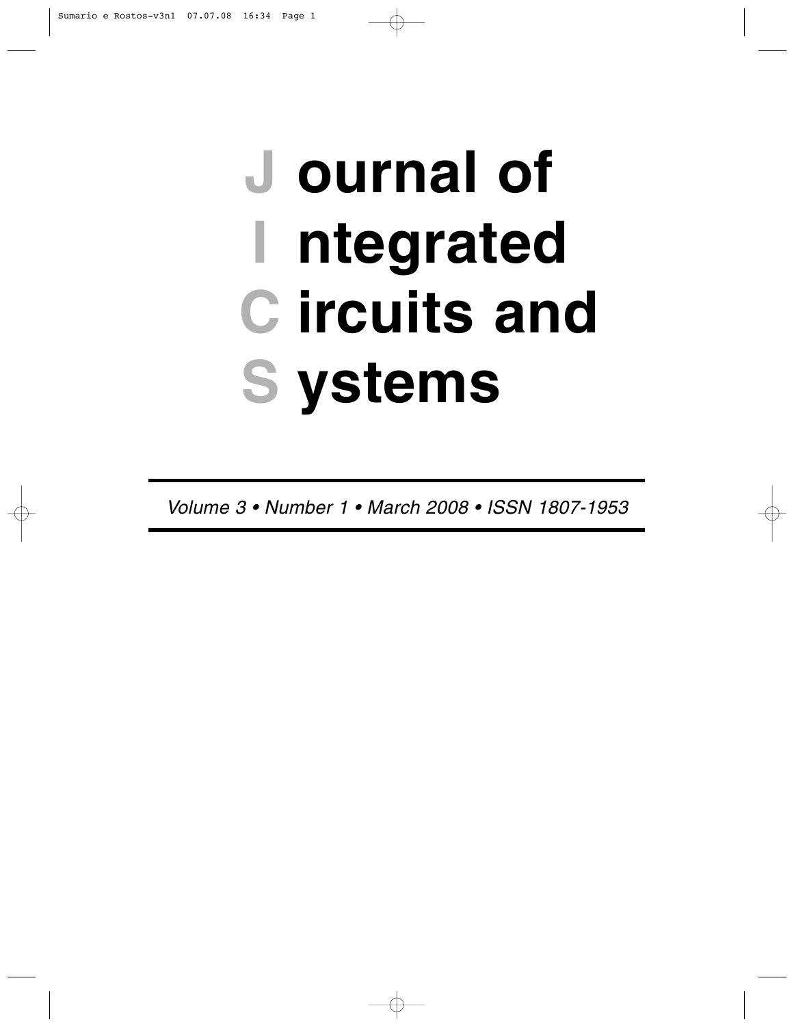# **ournal of J ntegrated I ircuits and C ystems S**

*Volume 3 • Number 1 • March 2008 • ISSN 1807-1953*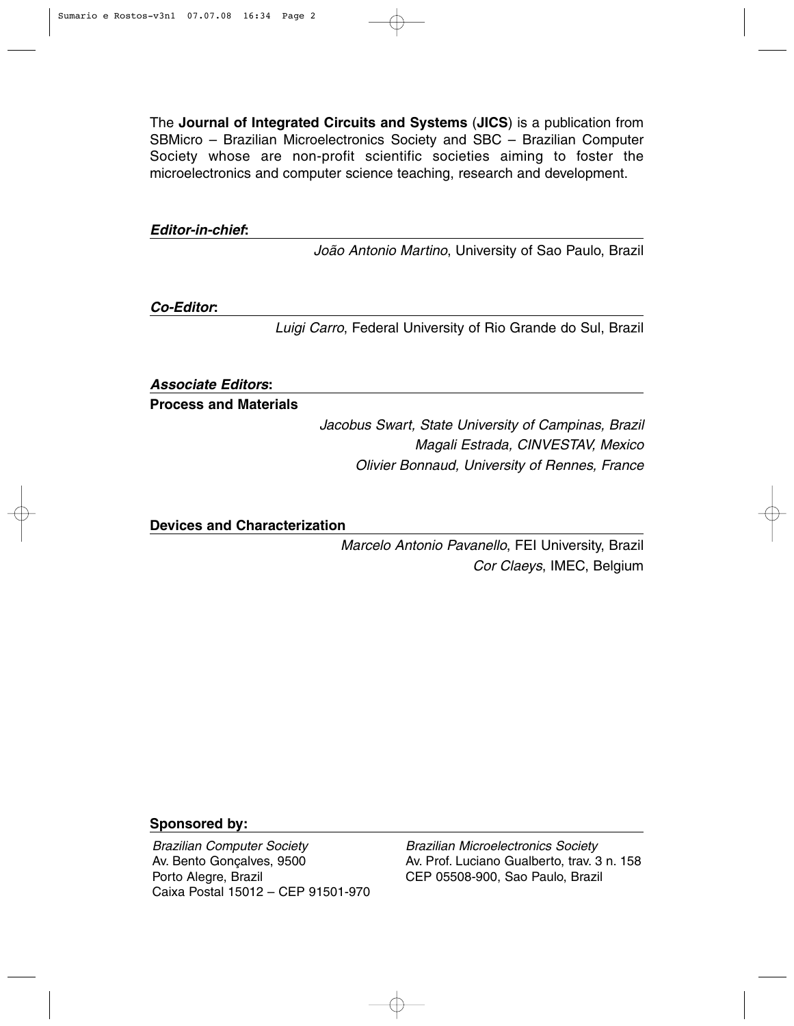The **Journal of Integrated Circuits and Systems** (**JICS**) is a publication from SBMicro – Brazilian Microelectronics Society and SBC – Brazilian Computer Society whose are non-profit scientific societies aiming to foster the microelectronics and computer science teaching, research and development.

*Editor-in-chief***:**

*João Antonio Martino*, University of Sao Paulo, Brazil

*Co-Editor***:**

*Luigi Carro*, Federal University of Rio Grande do Sul, Brazil

*Associate Editors***:**

**Process and Materials**

*Jacobus Swart, State University of Campinas, Brazil Magali Estrada, CINVESTAV, Mexico Olivier Bonnaud, University of Rennes, France*

**Devices and Characterization**

*Marcelo Antonio Pavanello*, FEI University, Brazil *Cor Claeys*, IMEC, Belgium

#### **Sponsored by:**

*Brazilian Computer Society* Av. Bento Gonçalves, 9500 Porto Alegre, Brazil Caixa Postal 15012 – CEP 91501-970

*Brazilian Microelectronics Society* Av. Prof. Luciano Gualberto, trav. 3 n. 158 CEP 05508-900, Sao Paulo, Brazil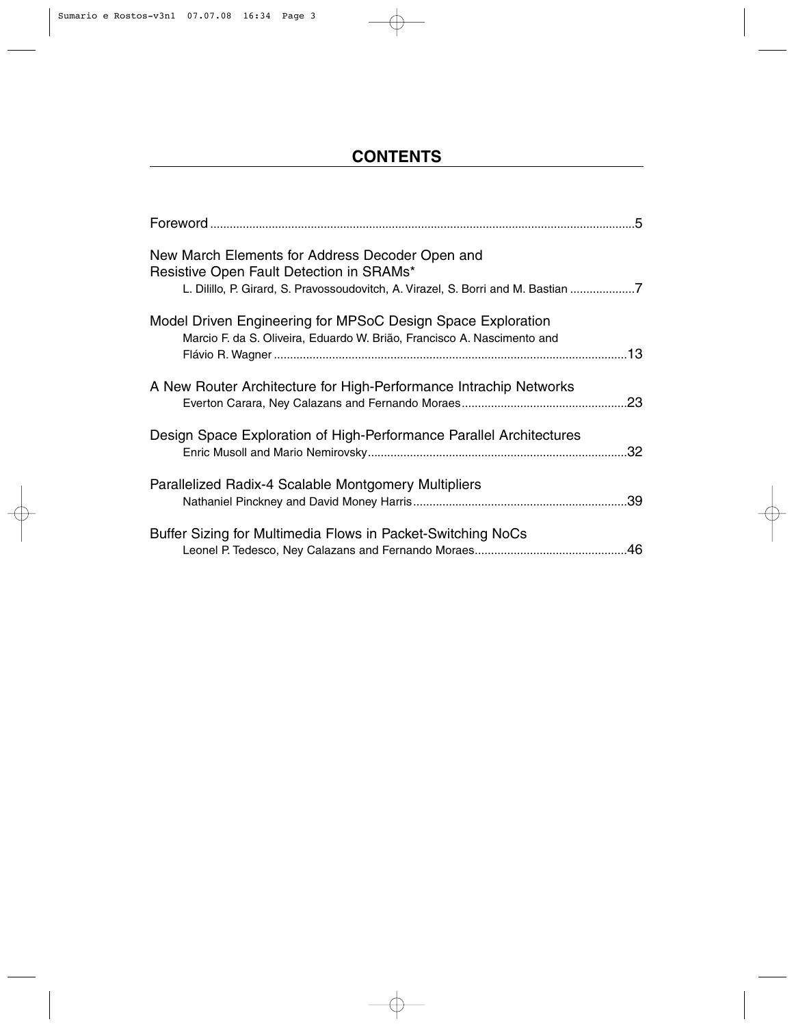### **CONTENTS**

| New March Elements for Address Decoder Open and<br>Resistive Open Fault Detection in SRAMs*<br>L. Dilillo, P. Girard, S. Pravossoudovitch, A. Virazel, S. Borri and M. Bastian 7 |     |
|----------------------------------------------------------------------------------------------------------------------------------------------------------------------------------|-----|
| Model Driven Engineering for MPSoC Design Space Exploration<br>Marcio F. da S. Oliveira, Eduardo W. Brião, Francisco A. Nascimento and                                           |     |
| A New Router Architecture for High-Performance Intrachip Networks                                                                                                                |     |
| Design Space Exploration of High-Performance Parallel Architectures                                                                                                              | .32 |
| Parallelized Radix-4 Scalable Montgomery Multipliers                                                                                                                             |     |
| Buffer Sizing for Multimedia Flows in Packet-Switching NoCs                                                                                                                      |     |